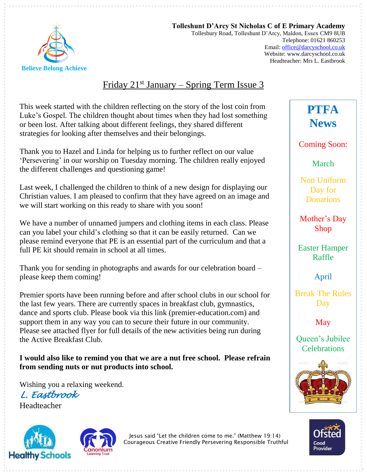

**Tolleshunt D'Arcy St Nicholas C of E Primary Academy** Tollesbury Road, Tolleshunt D'Arcy, Maldon, Essex CM9 8UB Telephone: 01621 860253 Email[: office@darcyschool.co.uk](mailto:office@darcyschool.co.uk) Website: www.darcyschool.co.uk Headteacher: Mrs L. Eastbrook

## Friday  $21^{st}$  January – Spring Term Issue 3

This week started with the children reflecting on the story of the lost coin from Luke's Gospel. The children thought about times when they had lost something or been lost. After talking about different feelings, they shared different strategies for looking after themselves and their belongings.

Thank you to Hazel and Linda for helping us to further reflect on our value 'Persevering' in our worship on Tuesday morning. The children really enjoyed the different challenges and questioning game!

Last week, I challenged the children to think of a new design for displaying our Christian values. I am pleased to confirm that they have agreed on an image and we will start working on this ready to share with you soon!

We have a number of unnamed jumpers and clothing items in each class. Please can you label your child's clothing so that it can be easily returned. Can we please remind everyone that PE is an essential part of the curriculum and that a full PE kit should remain in school at all times.

Thank you for sending in photographs and awards for our celebration board – please keep them coming!

Premier sports have been running before and after school clubs in our school for the last few years. There are currently spaces in breakfast club, gymnastics, dance and sports club. Please book via this link (premier-education.com) and support them in any way you can to secure their future in our community. Please see attached flyer for full details of the new activities being run during the Active Breakfast Club.

#### **I would also like to remind you that we are a nut free school. Please refrain from sending nuts or nut products into school.**

Wishing you a relaxing weekend. *L. Eastbrook*  Headteacher





Jesus said "Let the children come to me." (Matthew 19:14) Courageous Creative Friendly Persevering Responsible Truthful **PTFA News**

Coming Soon:

March

Non Uniform Day for Donations

Mother's Day Shop

Easter Hamper Raffle

April

Break The Rules Day

May

Queen's Jubilee **Celebrations**